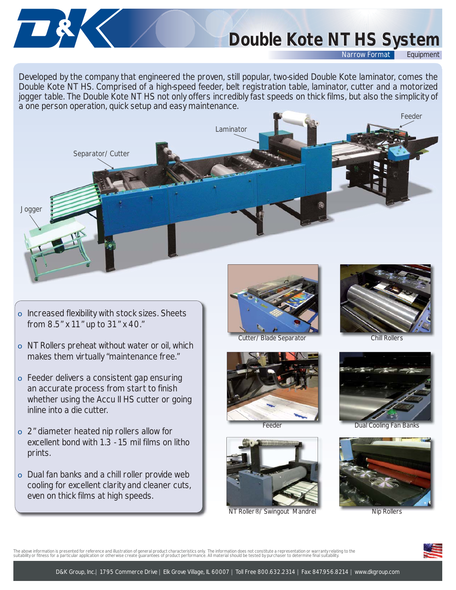# *Double Kote NT HS System Double Kote NT HS System*

*Narrow Format* 

Developed by the company that engineered the proven, still popular, two-sided Double Kote laminator, comes the Double Kote NT HS. Comprised of a high-speed feeder, belt registration table, laminator, cutter and a motorized jogger table. The Double Kote NT HS not only offers incredibly fast speeds on thick films, but also the simplicity of a one person operation, quick setup and easy maintenance.



o Increased flexibility with stock sizes. Sheets from 8.5" x 11" up to 31" x 40."

TRK

- o NT Rollers preheat without water or oil, which makes them virtually "maintenance free."
- o Feeder delivers a consistent gap ensuring an accurate process from start to finish whether using the Accu II HS cutter or going inline into a die cutter.
- o 2" diameter heated nip rollers allow for excellent bond with 1.3 - 15 mil films on litho prints.
- o Dual fan banks and a chill roller provide web cooling for excellent clarity and cleaner cuts, even on thick films at high speeds.



Chill Rollers Chill Rollers









NT Roller<sup>®</sup>/Swingout Mandre



Feeder **Dual Cooling Fan Banks** 



The above information is presented for reference and illustration of general product characteristics only. The information does not constitute a representation or warranty relating to the<br>suitability or fitness for a parti